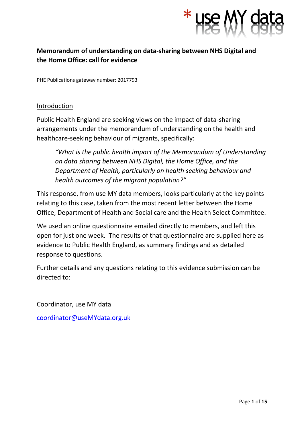

# **Memorandum of understanding on data-sharing between NHS Digital and the Home Office: call for evidence**

PHE Publications gateway number: 2017793

### **Introduction**

Public Health England are seeking views on the impact of data-sharing arrangements under the memorandum of understanding on the health and healthcare-seeking behaviour of migrants, specifically:

*"What is the public health impact of the Memorandum of Understanding on data sharing between NHS Digital, the Home Office, and the Department of Health, particularly on health seeking behaviour and health outcomes of the migrant population?"*

This response, from use MY data members, looks particularly at the key points relating to this case, taken from the most recent letter between the Home Office, Department of Health and Social care and the Health Select Committee.

We used an online questionnaire emailed directly to members, and left this open for just one week. The results of that questionnaire are supplied here as evidence to Public Health England, as summary findings and as detailed response to questions.

Further details and any questions relating to this evidence submission can be directed to:

Coordinator, use MY data

[coordinator@useMYdata.org.uk](mailto:coordinator@useMYdata.org.uk)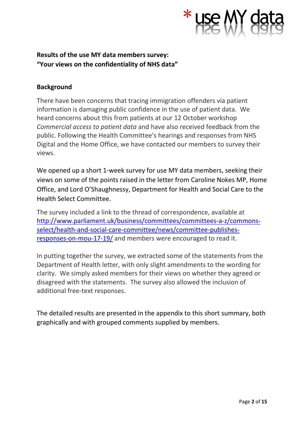

# **Results of the use MY data members survey: "Your views on the confidentiality of NHS data"**

## **Background**

There have been concerns that tracing immigration offenders via patient information is damaging public confidence in the use of patient data. We heard concerns about this from patients at our 12 October workshop *Commercial access to patient data* and have also received feedback from the public. Following the Health Committee's hearings and responses from NHS Digital and the Home Office, we have contacted our members to survey their views.

We opened up a short 1-week survey for use MY data members, seeking their views on some of the points raised in the letter from Caroline Nokes MP, Home Office, and Lord O'Shaughnessy, Department for Health and Social Care to the Health Select Committee.

The survey included a link to the thread of correspondence, available at [http://www.parliament.uk/business/committees/committees-a-z/commons](http://www.parliament.uk/business/committees/committees-a-z/commons-select/health-and-social-care-committee/news/committee-publishes-responses-on-mou-17-19/)[select/health-and-social-care-committee/news/committee-publishes](http://www.parliament.uk/business/committees/committees-a-z/commons-select/health-and-social-care-committee/news/committee-publishes-responses-on-mou-17-19/)[responses-on-mou-17-19/](http://www.parliament.uk/business/committees/committees-a-z/commons-select/health-and-social-care-committee/news/committee-publishes-responses-on-mou-17-19/) and members were encouraged to read it.

In putting together the survey, we extracted some of the statements from the Department of Health letter, with only slight amendments to the wording for clarity. We simply asked members for their views on whether they agreed or disagreed with the statements. The survey also allowed the inclusion of additional free-text responses.

The detailed results are presented in the appendix to this short summary, both graphically and with grouped comments supplied by members.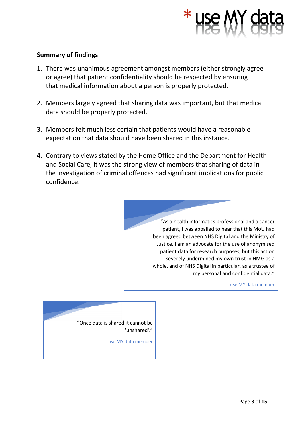

## **Summary of findings**

- 1. There was unanimous agreement amongst members (either strongly agree or agree) that patient confidentiality should be respected by ensuring that medical information about a person is properly protected.
- 2. Members largely agreed that sharing data was important, but that medical data should be properly protected.
- 3. Members felt much less certain that patients would have a reasonable expectation that data should have been shared in this instance.
- 4. Contrary to views stated by the Home Office and the Department for Health and Social Care, it was the strong view of members that sharing of data in the investigation of criminal offences had significant implications for public confidence.

"As a health informatics professional and a cancer patient, I was appalled to hear that this MoU had been agreed between NHS Digital and the Ministry of Justice. I am an advocate for the use of anonymised patient data for research purposes, but this action severely undermined my own trust in HMG as a whole, and of NHS Digital in particular, as a trustee of my personal and confidential data."

use MY data member

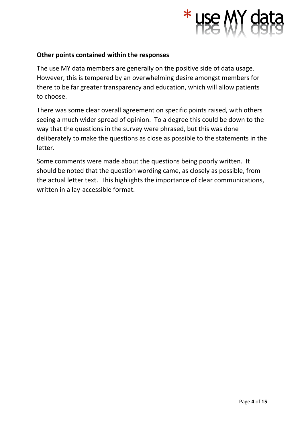

## **Other points contained within the responses**

The use MY data members are generally on the positive side of data usage. However, this is tempered by an overwhelming desire amongst members for there to be far greater transparency and education, which will allow patients to choose.

There was some clear overall agreement on specific points raised, with others seeing a much wider spread of opinion. To a degree this could be down to the way that the questions in the survey were phrased, but this was done deliberately to make the questions as close as possible to the statements in the letter.

Some comments were made about the questions being poorly written. It should be noted that the question wording came, as closely as possible, from the actual letter text. This highlights the importance of clear communications, written in a lay-accessible format.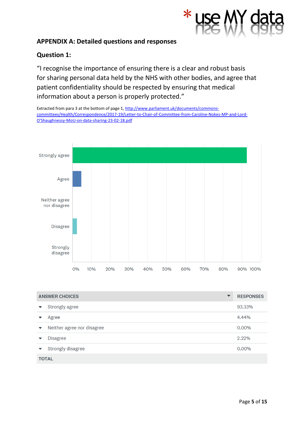

## **APPENDIX A: Detailed questions and responses**

## **Question 1:**

"I recognise the importance of ensuring there is a clear and robust basis for sharing personal data held by the NHS with other bodies, and agree that patient confidentiality should be respected by ensuring that medical information about a person is properly protected."

Extracted from para 3 at the bottom of page 1[, http://www.parliament.uk/documents/commons](http://www.parliament.uk/documents/commons-committees/Health/Correspondence/2017-19/Letter-to-Chair-of-Committee-from-Caroline-Nokes-MP-and-Lord-O)[committees/Health/Correspondence/2017-19/Letter-to-Chair-of-Committee-from-Caroline-Nokes-MP-and-Lord-](http://www.parliament.uk/documents/commons-committees/Health/Correspondence/2017-19/Letter-to-Chair-of-Committee-from-Caroline-Nokes-MP-and-Lord-O)[O'Shaughnessy-MoU-on-data-sharing-23-02-18.pdf](http://www.parliament.uk/documents/commons-committees/Health/Correspondence/2017-19/Letter-to-Chair-of-Committee-from-Caroline-Nokes-MP-and-Lord-O)



| <b>ANSWER CHOICES</b><br>$\blacktriangledown$ |                            | <b>RESPONSES</b> |  |
|-----------------------------------------------|----------------------------|------------------|--|
| $\blacktriangledown$                          | Strongly agree             | 93.33%           |  |
|                                               | Agree                      | 4.44%            |  |
| $\blacktriangledown$                          | Neither agree nor disagree | $0.00\%$         |  |
| $\blacktriangledown$                          | <b>Disagree</b>            | 2.22%            |  |
| $\blacktriangledown$                          | Strongly disagree          | $0.00\%$         |  |
| <b>TOTAL</b>                                  |                            |                  |  |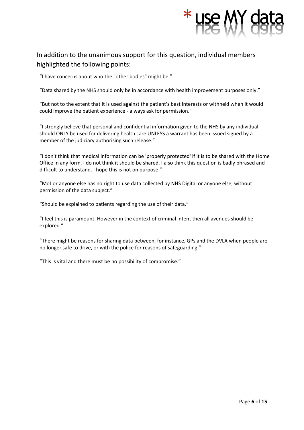

In addition to the unanimous support for this question, individual members highlighted the following points:

"I have concerns about who the "other bodies" might be."

"Data shared by the NHS should only be in accordance with health improvement purposes only."

"But not to the extent that it is used against the patient's best interests or withheld when it would could improve the patient experience - always ask for permission."

"I strongly believe that personal and confidential information given to the NHS by any individual should ONLY be used for delivering health care UNLESS a warrant has been issued signed by a member of the judiciary authorising such release."

"I don't think that medical information can be 'properly protected' if it is to be shared with the Home Office in any form. I do not think it should be shared. I also think this question is badly phrased and difficult to understand. I hope this is not on purpose."

"MoJ or anyone else has no right to use data collected by NHS Digital or anyone else, without permission of the data subject."

"Should be explained to patients regarding the use of their data."

"I feel this is paramount. However in the context of criminal intent then all avenues should be explored."

"There might be reasons for sharing data between, for instance, GPs and the DVLA when people are no longer safe to drive, or with the police for reasons of safeguarding."

"This is vital and there must be no possibility of compromise."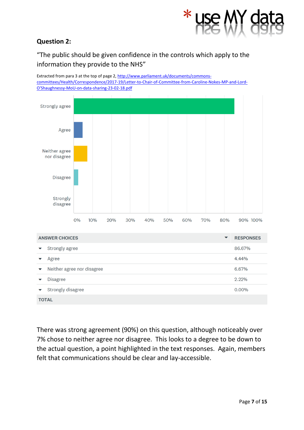

## **Question 2:**

"The public should be given confidence in the controls which apply to the information they provide to the NHS"

Extracted from para 3 at the top of page 2[, http://www.parliament.uk/documents/commons](http://www.parliament.uk/documents/commons-committees/Health/Correspondence/2017-19/Letter-to-Chair-of-Committee-from-Caroline-Nokes-MP-and-Lord-O)[committees/Health/Correspondence/2017-19/Letter-to-Chair-of-Committee-from-Caroline-Nokes-MP-and-Lord-](http://www.parliament.uk/documents/commons-committees/Health/Correspondence/2017-19/Letter-to-Chair-of-Committee-from-Caroline-Nokes-MP-and-Lord-O)[O'Shaughnessy-MoU-on-data-sharing-23-02-18.pdf](http://www.parliament.uk/documents/commons-committees/Health/Correspondence/2017-19/Letter-to-Chair-of-Committee-from-Caroline-Nokes-MP-and-Lord-O)



There was strong agreement (90%) on this question, although noticeably over 7% chose to neither agree nor disagree. This looks to a degree to be down to the actual question, a point highlighted in the text responses. Again, members felt that communications should be clear and lay-accessible.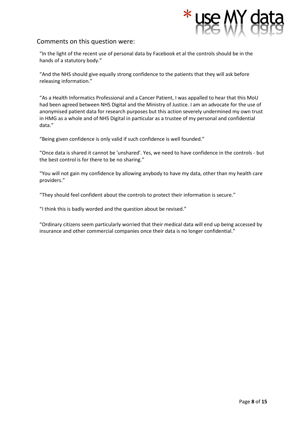"In the light of the recent use of personal data by Facebook et al the controls should be in the hands of a statutory body."

"And the NHS should give equally strong confidence to the patients that they will ask before releasing information."

"As a Health Informatics Professional and a Cancer Patient, I was appalled to hear that this MoU had been agreed between NHS Digital and the Ministry of Justice. I am an advocate for the use of anonymised patient data for research purposes but this action severely undermined my own trust in HMG as a whole and of NHS Digital in particular as a trustee of my personal and confidential data."

"Being given confidence is only valid if such confidence is well founded."

"Once data is shared it cannot be 'unshared'. Yes, we need to have confidence in the controls - but the best control is for there to be no sharing."

"You will not gain my confidence by allowing anybody to have my data, other than my health care providers."

"They should feel confident about the controls to protect their information is secure."

"I think this is badly worded and the question about be revised."

"Ordinary citizens seem particularly worried that their medical data will end up being accessed by insurance and other commercial companies once their data is no longer confidential."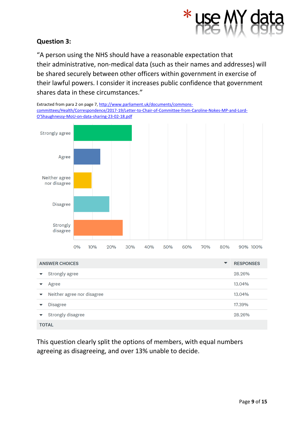

## **Question 3:**

"A person using the NHS should have a reasonable expectation that their administrative, non-medical data (such as their names and addresses) will be shared securely between other officers within government in exercise of their lawful powers. I consider it increases public confidence that government shares data in these circumstances."

Extracted from para 2 on page 7, [http://www.parliament.uk/documents/commons](http://www.parliament.uk/documents/commons-committees/Health/Correspondence/2017-19/Letter-to-Chair-of-Committee-from-Caroline-Nokes-MP-and-Lord-O)[committees/Health/Correspondence/2017-19/Letter-to-Chair-of-Committee-from-Caroline-Nokes-MP-and-Lord-](http://www.parliament.uk/documents/commons-committees/Health/Correspondence/2017-19/Letter-to-Chair-of-Committee-from-Caroline-Nokes-MP-and-Lord-O)[O'Shaughnessy-MoU-on-data-sharing-23-02-18.pdf](http://www.parliament.uk/documents/commons-committees/Health/Correspondence/2017-19/Letter-to-Chair-of-Committee-from-Caroline-Nokes-MP-and-Lord-O)



| <b>ANSWER CHOICES</b>                              | <b>RESPONSES</b><br>▼ |  |  |
|----------------------------------------------------|-----------------------|--|--|
| Strongly agree<br>$\blacktriangledown$             | 28.26%                |  |  |
| Agree                                              | 13.04%                |  |  |
| Neither agree nor disagree<br>$\blacktriangledown$ | 13.04%                |  |  |
| <b>Disagree</b>                                    | 17.39%                |  |  |
| Strongly disagree                                  | 28.26%                |  |  |
| <b>TOTAL</b>                                       |                       |  |  |

This question clearly split the options of members, with equal numbers agreeing as disagreeing, and over 13% unable to decide.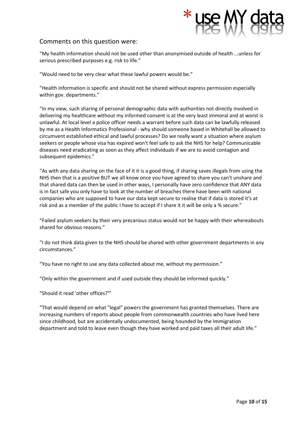"My health information should not be used other than anonymised outside of health ...unless for serious prescribed purposes e.g. risk to life."

"Would need to be very clear what these lawful powers would be."

"Health information is specific and should not be shared without express permission especially within gov. departments."

"In my view, such sharing of personal demographic data with authorities not directly involved in delivering my healthcare without my informed consent is at the very least immoral and at worst is unlawful. At local level a police officer needs a warrant before such data can be lawfully released by me as a Health Informatics Professional - why should someone based in Whitehall be allowed to circumvent established ethical and lawful processes? Do we really want a situation where asylum seekers or people whose visa has expired won't feel safe to ask the NHS for help? Communicable diseases need eradicating as soon as they affect individuals if we are to avoid contagion and subsequent epidemics."

"As with any data sharing on the face of it it is a good thing, if sharing saves illegals from using the NHS then that is a positive BUT we all know once you have agreed to share you can't unshare and that shared data can then be used in other ways, I personally have zero confidence that ANY data is in fact safe you only have to look at the number of breaches there have been with national companies who are supposed to have our data kept secure to realise that if data is stored it's at risk and as a member of the public I have to accept if I share it it will be only a % secure."

"Failed asylum seekers by their very precarious status would not be happy with their whereabouts shared for obvious reasons."

"I do not think data given to the NHS should be shared with other government departments in any circumstances."

"You have no right to use any data collected about me, without my permission."

"Only within the government and if used outside they should be informed quickly."

"Should it read 'other offices?'"

"That would depend on what "legal" powers the government has granted themselves. There are increasing numbers of reports about people from commonwealth countries who have lived here since childhood, but are accidentally undocumented, being hounded by the Immigration department and told to leave even though they have worked and paid taxes all their adult life."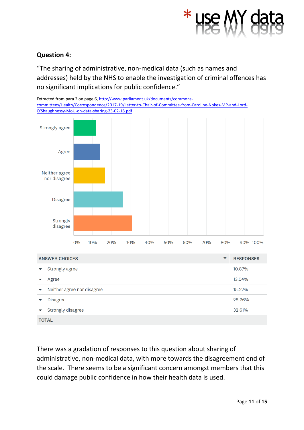

## **Question 4:**

"The sharing of administrative, non-medical data (such as names and addresses) held by the NHS to enable the investigation of criminal offences has no significant implications for public confidence."

Extracted from para 2 on page 6, [http://www.parliament.uk/documents/commons](http://www.parliament.uk/documents/commons-committees/Health/Correspondence/2017-19/Letter-to-Chair-of-Committee-from-Caroline-Nokes-MP-and-Lord-O)[committees/Health/Correspondence/2017-19/Letter-to-Chair-of-Committee-from-Caroline-Nokes-MP-and-Lord-](http://www.parliament.uk/documents/commons-committees/Health/Correspondence/2017-19/Letter-to-Chair-of-Committee-from-Caroline-Nokes-MP-and-Lord-O)[O'Shaughnessy-MoU-on-data-sharing-23-02-18.pdf](http://www.parliament.uk/documents/commons-committees/Health/Correspondence/2017-19/Letter-to-Chair-of-Committee-from-Caroline-Nokes-MP-and-Lord-O)



There was a gradation of responses to this question about sharing of administrative, non-medical data, with more towards the disagreement end of the scale. There seems to be a significant concern amongst members that this could damage public confidence in how their health data is used.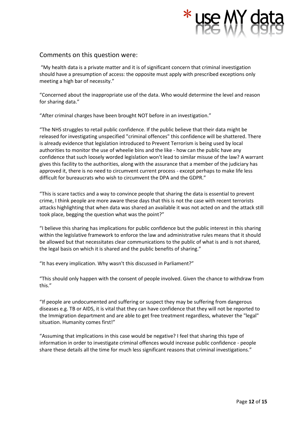"My health data is a private matter and it is of significant concern that criminal investigation should have a presumption of access: the opposite must apply with prescribed exceptions only meeting a high bar of necessity."

"Concerned about the inappropriate use of the data. Who would determine the level and reason for sharing data."

"After criminal charges have been brought NOT before in an investigation."

"The NHS struggles to retail public confidence. If the public believe that their data might be released for investigating unspecified "criminal offences" this confidence will be shattered. There is already evidence that legislation introduced to Prevent Terrorism is being used by local authorities to monitor the use of wheelie bins and the like - how can the public have any confidence that such loosely worded legislation won't lead to similar misuse of the law? A warrant gives this facility to the authorities, along with the assurance that a member of the judiciary has approved it, there is no need to circumvent current process - except perhaps to make life less difficult for bureaucrats who wish to circumvent the DPA and the GDPR."

"This is scare tactics and a way to convince people that sharing the data is essential to prevent crime, I think people are more aware these days that this is not the case with recent terrorists attacks highlighting that when data was shared an available it was not acted on and the attack still took place, begging the question what was the point?"

"I believe this sharing has implications for public confidence but the public interest in this sharing within the legislative framework to enforce the law and administrative rules means that it should be allowed but that necessitates clear communications to the public of what is and is not shared, the legal basis on which it is shared and the public benefits of sharing."

"It has every implication. Why wasn't this discussed in Parliament?"

"This should only happen with the consent of people involved. Given the chance to withdraw from this."

"If people are undocumented and suffering or suspect they may be suffering from dangerous diseases e.g. TB or AIDS, it is vital that they can have confidence that they will not be reported to the Immigration department and are able to get free treatment regardless, whatever the "legal" situation. Humanity comes first!"

"Assuming that implications in this case would be negative? I feel that sharing this type of information in order to investigate criminal offences would increase public confidence - people share these details all the time for much less significant reasons that criminal investigations."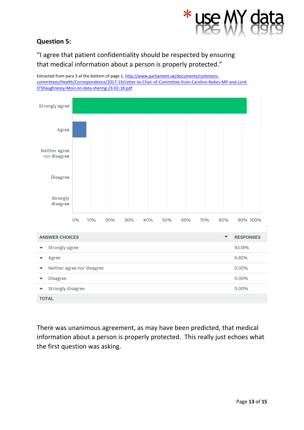# **Question 5:**

"I agree that patient confidentiality should be respected by ensuring that medical information about a person is properly protected."

Extracted from para 3 at the bottom of page 1[, http://www.parliament.uk/documents/commons](http://www.parliament.uk/documents/commons-committees/Health/Correspondence/2017-19/Letter-to-Chair-of-Committee-from-Caroline-Nokes-MP-and-Lord-O)[committees/Health/Correspondence/2017-19/Letter-to-Chair-of-Committee-from-Caroline-Nokes-MP-and-Lord-](http://www.parliament.uk/documents/commons-committees/Health/Correspondence/2017-19/Letter-to-Chair-of-Committee-from-Caroline-Nokes-MP-and-Lord-O)[O'Shaughnessy-MoU-on-data-sharing-23-02-18.pdf](http://www.parliament.uk/documents/commons-committees/Health/Correspondence/2017-19/Letter-to-Chair-of-Committee-from-Caroline-Nokes-MP-and-Lord-O)



There was unanimous agreement, as may have been predicted, that medical information about a person is properly protected. This really just echoes what the first question was asking.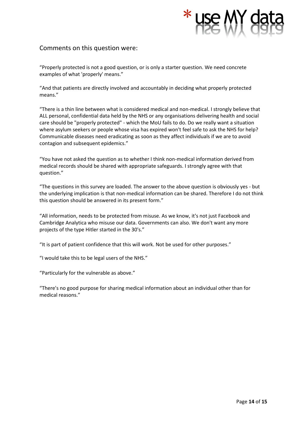"Properly protected is not a good question, or is only a starter question. We need concrete examples of what 'properly' means."

"And that patients are directly involved and accountably in deciding what properly protected means."

"There is a thin line between what is considered medical and non-medical. I strongly believe that ALL personal, confidential data held by the NHS or any organisations delivering health and social care should be "properly protected" - which the MoU fails to do. Do we really want a situation where asylum seekers or people whose visa has expired won't feel safe to ask the NHS for help? Communicable diseases need eradicating as soon as they affect individuals if we are to avoid contagion and subsequent epidemics."

"You have not asked the question as to whether I think non-medical information derived from medical records should be shared with appropriate safeguards. I strongly agree with that question."

"The questions in this survey are loaded. The answer to the above question is obviously yes - but the underlying implication is that non-medical information can be shared. Therefore I do not think this question should be answered in its present form."

"All information, needs to be protected from misuse. As we know, it's not just Facebook and Cambridge Analytica who misuse our data. Governments can also. We don't want any more projects of the type Hitler started in the 30's."

"It is part of patient confidence that this will work. Not be used for other purposes."

"I would take this to be legal users of the NHS."

"Particularly for the vulnerable as above."

"There's no good purpose for sharing medical information about an individual other than for medical reasons."